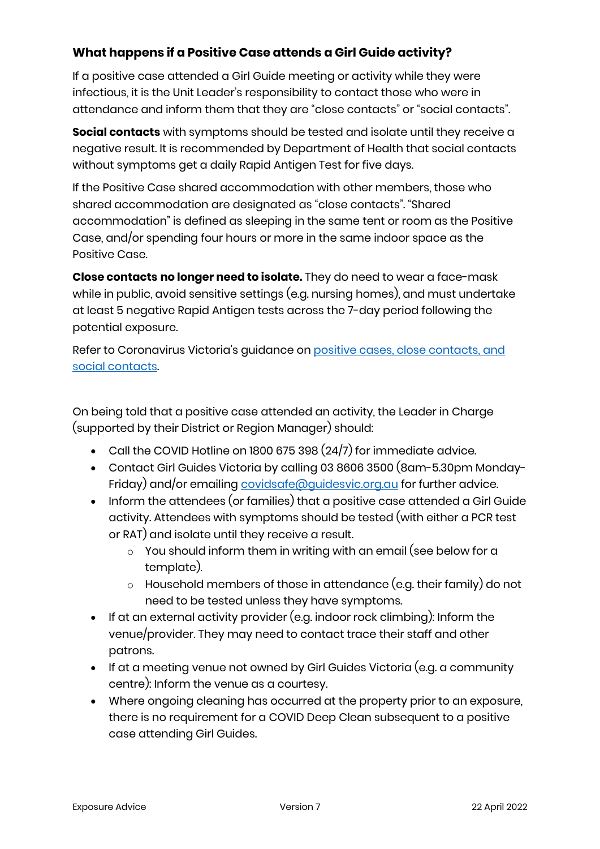### **What happens if a Positive Case attends a Girl Guide activity?**

If a positive case attended a Girl Guide meeting or activity while they were infectious, it is the Unit Leader's responsibility to contact those who were in attendance and inform them that they are "close contacts" or "social contacts".

**Social contacts** with symptoms should be tested and isolate until they receive a negative result. It is recommended by Department of Health that social contacts without symptoms get a daily Rapid Antigen Test for five days.

If the Positive Case shared accommodation with other members, those who shared accommodation are designated as "close contacts". "Shared accommodation" is defined as sleeping in the same tent or room as the Positive Case, and/or spending four hours or more in the same indoor space as the Positive Case.

**Close contacts no longer need to isolate.** They do need to wear a face-mask while in public, avoid sensitive settings (e.g. nursing homes), and must undertake at least 5 negative Rapid Antigen tests across the 7-day period following the potential exposure.

Refer to Coronavirus Victoria's guidance on [positive cases, close contacts,](https://www.coronavirus.vic.gov.au/checklist) and [social contacts.](https://www.coronavirus.vic.gov.au/checklist)

On being told that a positive case attended an activity, the Leader in Charge (supported by their District or Region Manager) should:

- $\bullet$  Call the COVID Hotline on 1800 675 398  $(24/7)$  for immediate advice.
- Contact Girl Guides Victoria by calling 03 8606 3500 (8am-5.30pm Monday-Friday) and/or emailing [covidsafe@guidesvic.org.au](mailto:covidsafe@guidesvic.org.au) for further advice.
- Inform the attendees (or families) that a positive case attended a Girl Guide activity. Attendees with symptoms should be tested (with either a PCR test or RAT) and isolate until they receive a result.
	- $\circ$  You should inform them in writing with an email (see below for a template).
	- o Household members of those in attendance (e.g. their family) do not need to be tested unless they have symptoms.
- If at an external activity provider (e.g. indoor rock climbing): Inform the venue/provider. They may need to contact trace their staff and other patrons.
- $\bullet$  If at a meeting venue not owned by Girl Guides Victoria (e.g. a community centre): Inform the venue as a courtesy.
- Where ongoing cleaning has occurred at the property prior to an exposure, there is no requirement for a COVID Deep Clean subsequent to a positive case attending Girl Guides.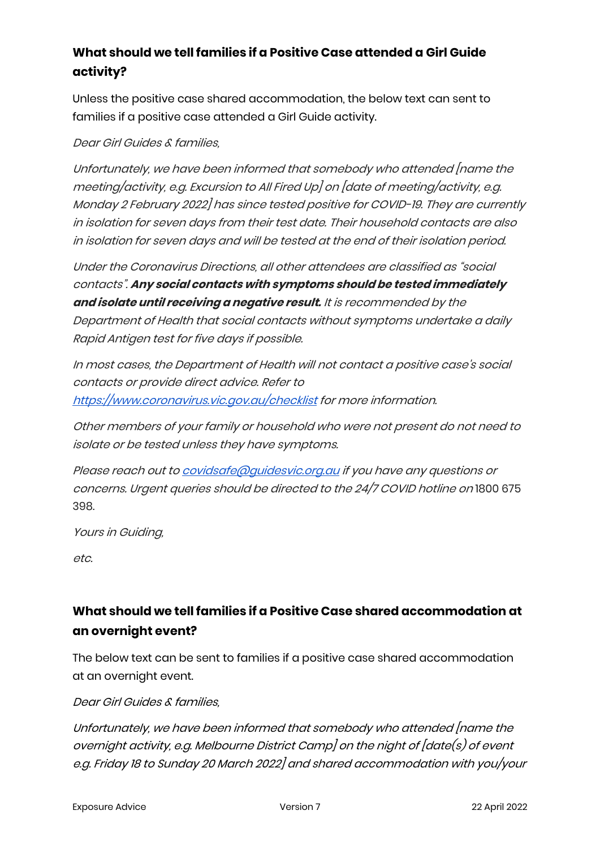## **What should we tell families if a Positive Case attended a Girl Guide activity?**

Unless the positive case shared accommodation, the below text can sent to families if a positive case attended a Girl Guide activity.

Dear Girl Guides & families,

Unfortunately, we have been informed that somebody who attended [name the meeting/activity, e.g. Excursion to All Fired Up] on [date of meeting/activity, e.g. Monday 2 February 2022] has since tested positive for COVID-19. They are currently in isolation for seven days from their test date. Their household contacts are also in isolation for seven days and will be tested at the end of their isolation period.

Under the Coronavirus Directions, all other attendees are classified as "social contacts". **Any social contacts with symptoms should be tested immediately and isolate until receiving a negative result.** It is recommended by the Department of Health that social contacts without symptoms undertake a daily Rapid Antigen test for five days if possible.

In most cases, the Department of Health will not contact a positive case's social contacts or provide direct advice. Refer to <https://www.coronavirus.vic.gov.au/checklist> for more information.

Other members of your family or household who were not present do not need to isolate or be tested unless they have symptoms.

Please reach out to covidsafe@quidesvic.org.au if you have any questions or concerns. Urgent queries should be directed to the 24/7 COVID hotline on 1800 675 398.

Yours in Guiding,

etc.

# **What should we tell families if a Positive Case shared accommodation at an overnight event?**

The below text can be sent to families if a positive case shared accommodation at an overnight event.

#### Dear Girl Guides & families,

Unfortunately, we have been informed that somebody who attended [name the overnight activity, e.g. Melbourne District Camp] on the night of [date(s) of event e.g. Friday 18 to Sunday 20 March 2022] and shared accommodation with you/your